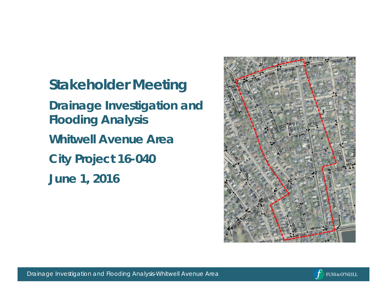**Stakeholder Meeting Drainage Investigation and Flooding Analysis Whitwell Avenue Area City Project 16-040 June 1, 2016**



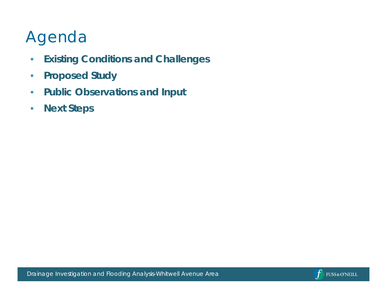# Agenda

- **Existing Conditions and Challenges**
- **Proposed Study**
- **Public Observations and Input**
- **Next Steps**

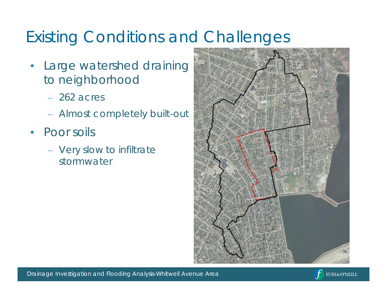- Large watershed draining to neighborhood
	- 262 acres
	- Almost completely built-out
- Poor soils
	- Very slow to infiltrate stormwater



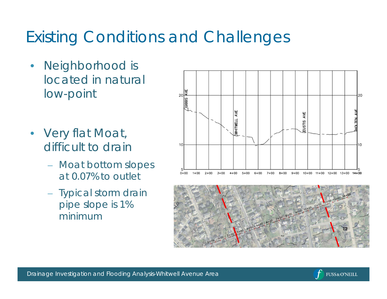- Neighborhood is located in natural low-point
- Very flat Moat, difficult to drain
	- Moat bottom slopes at 0.07% to outlet
	- Typical storm drain pipe slope is 1% minimum





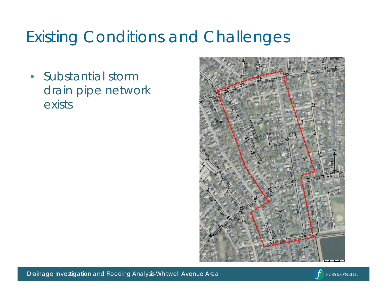• Substantial storm drain pipe network exists



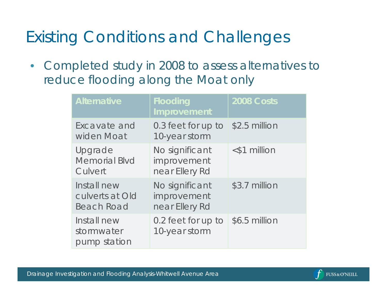• Completed study in 2008 to assess alternatives to reduce flooding along the Moat only

| Alternative                                         | Flooding<br>Improvement                         | 2008 Costs      |
|-----------------------------------------------------|-------------------------------------------------|-----------------|
| Excavate and<br>widen Moat                          | 0.3 feet for up to<br>10-year storm             | \$2.5 million   |
| Upgrade<br><b>Memorial Blvd</b><br>Culvert          | No significant<br>improvement<br>near Ellery Rd | $<$ \$1 million |
| Install new<br>culverts at Old<br><b>Beach Road</b> | No significant<br>improvement<br>near Ellery Rd | \$3.7 million   |
| Install new<br>stormwater<br>pump station           | 0.2 feet for up to<br>10-year storm             | \$6.5 million   |

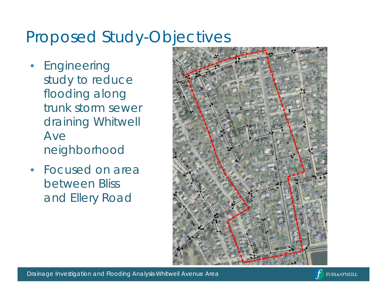## Proposed Study-Objectives

- **Engineering** study to reduce flooding along trunk storm sewer draining Whitwell Ave neighborhood
- Focused on area between Bliss and Ellery Road



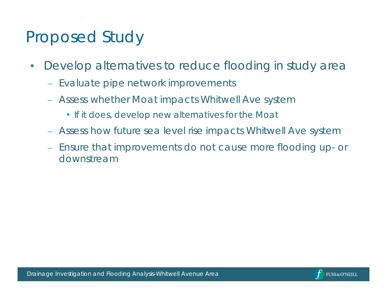### Proposed Study

- Develop alternatives to reduce flooding in study area
	- Evaluate pipe network improvements
	- Assess whether Moat impacts Whitwell Ave system
		- *If it does, develop new alternatives for the Moat*
	- Assess how future sea level rise impacts Whitwell Ave system
	- Ensure that improvements do not cause more flooding up- or downstream

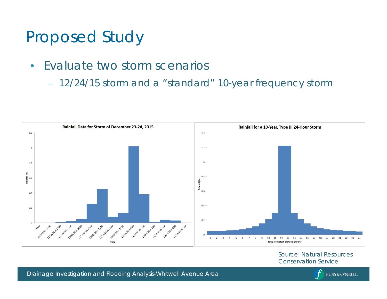#### Proposed Study

- Evaluate two storm scenarios
	- 12/24/15 storm and a "standard" 10-year frequency storm



Source: Natural Resources Conservation Service

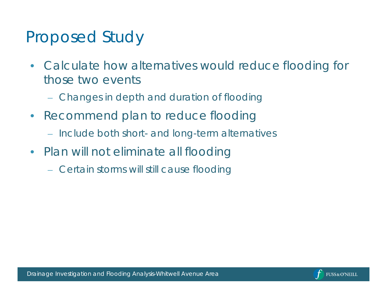#### Proposed Study

- Calculate how alternatives would reduce flooding for those two events
	- Changes in depth and duration of flooding
- Recommend plan to reduce flooding
	- Include both short- and long-term alternatives
- Plan will not eliminate all flooding
	- Certain storms will still cause flooding

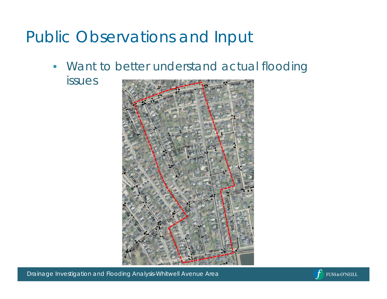#### Public Observations and Input

- Want to better understand actual flooding
	- issues